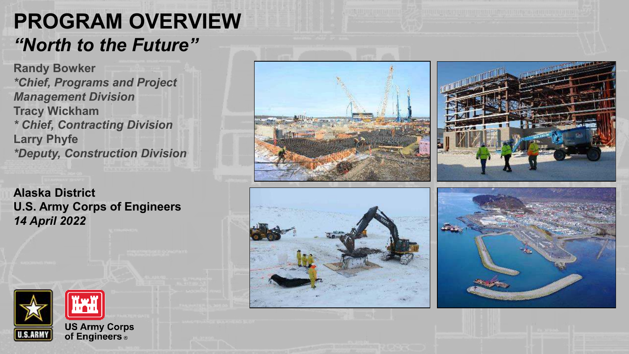# **PROGRAM OVERVIEW** *"North to the Future"*

**Randy Bowker** *\*Chief, Programs and Project Management Division* **Tracy Wickham** *\* Chief, Contracting Division* **Larry Phyfe** *\*Deputy, Construction Division*

**Alaska District U.S. Army Corps of Engineers**  *14 April 2022*









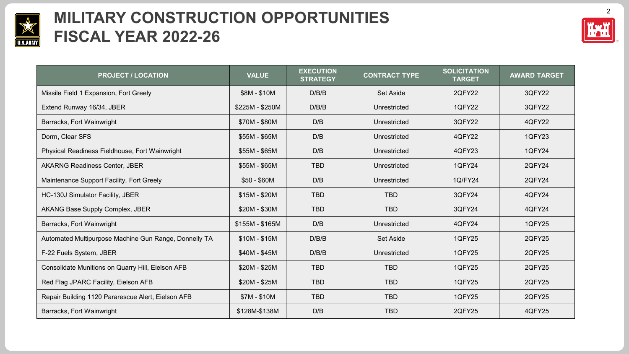

# **MILITARY CONSTRUCTION OPPORTUNITIES FISCAL YEAR 2022-26**



| <b>PROJECT / LOCATION</b>                             | <b>VALUE</b>    | <b>EXECUTION</b><br><b>STRATEGY</b> | <b>CONTRACT TYPE</b> | <b>SOLICITATION</b><br><b>TARGET</b> | <b>AWARD TARGET</b> |  |
|-------------------------------------------------------|-----------------|-------------------------------------|----------------------|--------------------------------------|---------------------|--|
| Missile Field 1 Expansion, Fort Greely                | \$8M - \$10M    | D/B/B                               | Set Aside            | 2QFY22                               | 3QFY22              |  |
| Extend Runway 16/34, JBER                             | \$225M - \$250M | D/B/B                               | Unrestricted         | <b>1QFY22</b>                        | 3QFY22              |  |
| Barracks, Fort Wainwright                             | \$70M - \$80M   | D/B                                 | Unrestricted         | 3QFY22                               | 4QFY22              |  |
| Dorm, Clear SFS                                       | $$55M - $65M$   | D/B                                 | Unrestricted         | 4QFY22                               | <b>1QFY23</b>       |  |
| Physical Readiness Fieldhouse, Fort Wainwright        | \$55M - \$65M   | D/B                                 | Unrestricted         | 4QFY23                               | <b>1QFY24</b>       |  |
| <b>AKARNG Readiness Center, JBER</b>                  | \$55M - \$65M   | <b>TBD</b>                          | Unrestricted         | 1QFY24                               | 2QFY24              |  |
| Maintenance Support Facility, Fort Greely             | $$50 - $60M$    | D/B                                 | Unrestricted         | 1Q/FY24                              | 2QFY24              |  |
| HC-130J Simulator Facility, JBER                      | $$15M - $20M$   | <b>TBD</b>                          | <b>TBD</b>           | 3QFY24                               | 4QFY24              |  |
| AKANG Base Supply Complex, JBER                       | \$20M - \$30M   | <b>TBD</b>                          | <b>TBD</b>           | 3QFY24                               | 4QFY24              |  |
| Barracks, Fort Wainwright                             | $$155M - $165M$ | D/B                                 | Unrestricted         | 4QFY24                               | <b>1QFY25</b>       |  |
| Automated Multipurpose Machine Gun Range, Donnelly TA | $$10M - $15M$   | D/B/B                               | Set Aside            | <b>1QFY25</b>                        | 2QFY25              |  |
| F-22 Fuels System, JBER                               | \$40M - \$45M   | D/B/B                               | Unrestricted         | <b>1QFY25</b>                        | 2QFY25              |  |
| Consolidate Munitions on Quarry Hill, Eielson AFB     | \$20M - \$25M   | <b>TBD</b>                          | <b>TBD</b>           | <b>1QFY25</b>                        | 2QFY25              |  |
| Red Flag JPARC Facility, Eielson AFB                  | \$20M - \$25M   | <b>TBD</b>                          | <b>TBD</b>           | <b>1QFY25</b>                        | 2QFY25              |  |
| Repair Building 1120 Pararescue Alert, Eielson AFB    | $$7M - $10M$    | <b>TBD</b>                          | <b>TBD</b>           | <b>1QFY25</b>                        | 2QFY25              |  |
| Barracks, Fort Wainwright                             | \$128M-\$138M   | D/B                                 | <b>TBD</b>           | 2QFY25                               | 4QFY25              |  |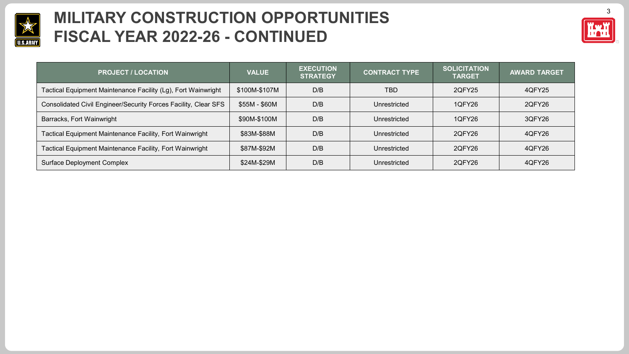

### **MILITARY CONSTRUCTION OPPORTUNITIES FISCAL YEAR 2022-26 - CONTINUED**



| <b>PROJECT / LOCATION</b>                                       | <b>VALUE</b>  | <b>EXECUTION</b><br><b>STRATEGY</b> | <b>CONTRACT TYPE</b> | <b>SOLICITATION</b><br><b>TARGET</b> | <b>AWARD TARGET</b> |
|-----------------------------------------------------------------|---------------|-------------------------------------|----------------------|--------------------------------------|---------------------|
| Tactical Equipment Maintenance Facility (Lg), Fort Wainwright   | \$100M-\$107M | D/B                                 | TBD                  | 2QFY25                               | 4QFY25              |
| Consolidated Civil Engineer/Security Forces Facility, Clear SFS | \$55M - \$60M | D/B                                 | Unrestricted         | 1QFY26                               | 2QFY26              |
| Barracks, Fort Wainwright                                       | \$90M-\$100M  | D/B                                 | Unrestricted         | 1QFY26                               | 3QFY26              |
| Tactical Equipment Maintenance Facility, Fort Wainwright        | \$83M-\$88M   | D/B                                 | Unrestricted         | 2QFY26                               | 4QFY26              |
| Tactical Equipment Maintenance Facility, Fort Wainwright        | \$87M-\$92M   | D/B                                 | Unrestricted         | 2QFY26                               | 4QFY26              |
| <b>Surface Deployment Complex</b>                               | \$24M-\$29M   | D/B                                 | Unrestricted         | 2QFY26                               | 4QFY26              |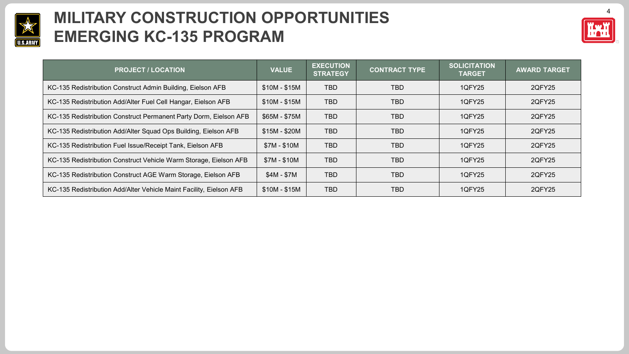

### **MILITARY CONSTRUCTION OPPORTUNITIES EMERGING KC-135 PROGRAM**



| <b>PROJECT / LOCATION</b>                                           | <b>VALUE</b>  | <b>EXECUTION</b><br><b>STRATEGY</b> | <b>CONTRACT TYPE</b> | <b>SOLICITATION</b><br><b>TARGET</b> | <b>AWARD TARGET</b> |
|---------------------------------------------------------------------|---------------|-------------------------------------|----------------------|--------------------------------------|---------------------|
| KC-135 Redistribution Construct Admin Building, Eielson AFB         | $$10M - $15M$ | TBD.                                | TBD.                 | 1QFY25                               | 2QFY25              |
| KC-135 Redistribution Add/Alter Fuel Cell Hangar, Eielson AFB       | $$10M - $15M$ | TBD.                                | TBD.                 | 1QFY25                               | 2QFY25              |
| KC-135 Redistribution Construct Permanent Party Dorm, Eielson AFB   | $$65M - $75M$ | TBD.                                | TBD.                 | 1QFY25                               | 2QFY25              |
| KC-135 Redistribution Add/Alter Squad Ops Building, Eielson AFB     | $$15M - $20M$ | <b>TBD</b>                          | TBD.                 | 1QFY25                               | 2QFY25              |
| KC-135 Redistribution Fuel Issue/Receipt Tank, Eielson AFB          | $$7M - $10M$  | TBD.                                | TBD.                 | 1QFY25                               | 2QFY25              |
| KC-135 Redistribution Construct Vehicle Warm Storage, Eielson AFB   | $$7M - $10M$  | TBD.                                | TBD.                 | 1QFY25                               | 2QFY25              |
| KC-135 Redistribution Construct AGE Warm Storage, Eielson AFB       | $$4M - $7M$$  | TBD.                                | TBD.                 | 1QFY25                               | 2QFY25              |
| KC-135 Redistribution Add/Alter Vehicle Maint Facility, Eielson AFB | $$10M - $15M$ | TBD                                 | TBD.                 | 1QFY25                               | 2QFY25              |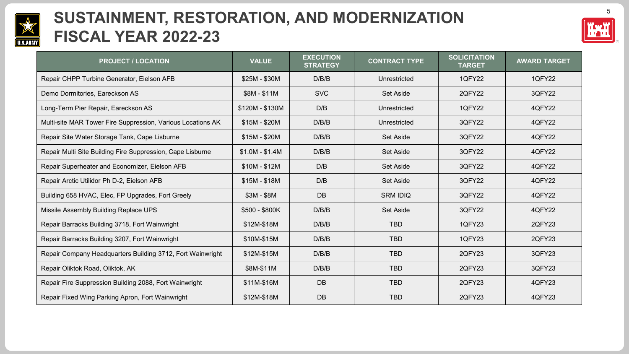

# **SUSTAINMENT, RESTORATION, AND MODERNIZATION FISCAL YEAR 2022-23**



| <b>PROJECT / LOCATION</b>                                   | <b>VALUE</b>    | <b>EXECUTION</b><br><b>STRATEGY</b> | <b>CONTRACT TYPE</b> | <b>SOLICITATION</b><br><b>TARGET</b> | <b>AWARD TARGET</b> |
|-------------------------------------------------------------|-----------------|-------------------------------------|----------------------|--------------------------------------|---------------------|
| Repair CHPP Turbine Generator, Eielson AFB                  | \$25M - \$30M   | D/B/B                               | Unrestricted         | <b>1QFY22</b>                        | 1QFY22              |
| Demo Dormitories, Eareckson AS                              | \$8M - \$11M    | <b>SVC</b>                          | Set Aside            | <b>2QFY22</b>                        | 3QFY22              |
| Long-Term Pier Repair, Eareckson AS                         | \$120M - \$130M | D/B                                 | Unrestricted         | <b>1QFY22</b>                        | 4QFY22              |
| Multi-site MAR Tower Fire Suppression, Various Locations AK | $$15M - $20M$   | D/B/B                               | Unrestricted         | 3QFY22                               | 4QFY22              |
| Repair Site Water Storage Tank, Cape Lisburne               | $$15M - $20M$   | D/B/B                               | Set Aside            | 3QFY22                               | 4QFY22              |
| Repair Multi Site Building Fire Suppression, Cape Lisburne  | $$1.0M - $1.4M$ | D/B/B                               | Set Aside            | 3QFY22                               | 4QFY22              |
| Repair Superheater and Economizer, Eielson AFB              | $$10M - $12M$   | D/B                                 | Set Aside            | 3QFY22                               | 4QFY22              |
| Repair Arctic Utilidor Ph D-2, Eielson AFB                  | $$15M - $18M$   | D/B                                 | Set Aside            | 3QFY22                               | 4QFY22              |
| Building 658 HVAC, Elec, FP Upgrades, Fort Greely           | $$3M - $8M$     | <b>DB</b>                           | <b>SRM IDIQ</b>      | 3QFY22                               | 4QFY22              |
| Missile Assembly Building Replace UPS                       | \$500 - \$800K  | D/B/B                               | Set Aside            | 3QFY22                               | 4QFY22              |
| Repair Barracks Building 3718, Fort Wainwright              | \$12M-\$18M     | D/B/B                               | <b>TBD</b>           | <b>1QFY23</b>                        | 2QFY23              |
| Repair Barracks Building 3207, Fort Wainwright              | \$10M-\$15M     | D/B/B                               | <b>TBD</b>           | <b>1QFY23</b>                        | 2QFY23              |
| Repair Company Headquarters Building 3712, Fort Wainwright  | \$12M-\$15M     | D/B/B                               | <b>TBD</b>           | 2QFY23                               | 3QFY23              |
| Repair Oliktok Road, Oliktok, AK                            | \$8M-\$11M      | D/B/B                               | <b>TBD</b>           | 2QFY23                               | 3QFY23              |
| Repair Fire Suppression Building 2088, Fort Wainwright      | \$11M-\$16M     | <b>DB</b>                           | <b>TBD</b>           | 2QFY23                               | 4QFY23              |
| Repair Fixed Wing Parking Apron, Fort Wainwright            | \$12M-\$18M     | <b>DB</b>                           | <b>TBD</b>           | 2QFY23                               | 4QFY23              |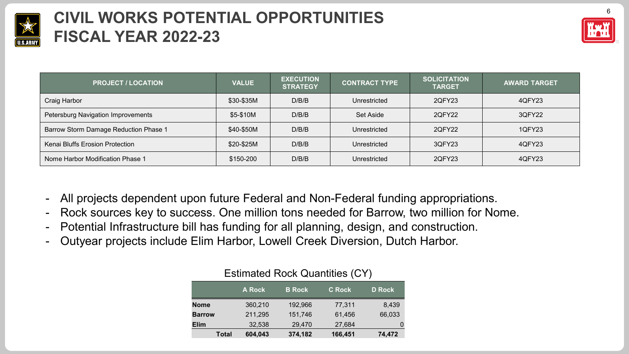

# **CIVIL WORKS POTENTIAL OPPORTUNITIES FISCAL YEAR 2022-23**



| <b>PROJECT / LOCATION</b>             | <b>VALUE</b> | <b>EXECUTION</b><br><b>STRATEGY</b> | <b>CONTRACT TYPE</b> | <b>SOLICITATION</b><br><b>TARGET</b> | <b>AWARD TARGET</b> |
|---------------------------------------|--------------|-------------------------------------|----------------------|--------------------------------------|---------------------|
| Craig Harbor                          | \$30-\$35M   | D/B/B                               | Unrestricted         | 2QFY23                               | 4QFY23              |
| Petersburg Navigation Improvements    | \$5-\$10M    | D/B/B                               | Set Aside            | 2QFY22                               | 3QFY22              |
| Barrow Storm Damage Reduction Phase 1 | \$40-\$50M   | D/B/B                               | Unrestricted         | 2QFY22                               | 1QFY23              |
| Kenai Bluffs Erosion Protection       | \$20-\$25M   | D/B/B                               | Unrestricted         | 3QFY23                               | 4QFY23              |
| Nome Harbor Modification Phase 1      | \$150-200    | D/B/B                               | Unrestricted         | 2QFY23                               | 4QFY23              |

- All projects dependent upon future Federal and Non-Federal funding appropriations.
- Rock sources key to success. One million tons needed for Barrow, two million for Nome.
- Potential Infrastructure bill has funding for all planning, design, and construction.
- Outyear projects include Elim Harbor, Lowell Creek Diversion, Dutch Harbor.

|               | A Rock  | <b>B</b> Rock | <b>C</b> Rock | <b>D</b> Rock |  |  |  |  |  |  |
|---------------|---------|---------------|---------------|---------------|--|--|--|--|--|--|
| <b>Nome</b>   | 360,210 | 192,966       | 77,311        | 8,439         |  |  |  |  |  |  |
| <b>Barrow</b> | 211,295 | 151,746       | 61,456        | 66,033        |  |  |  |  |  |  |
| <b>Elim</b>   | 32,538  | 29,470        | 27,684        |               |  |  |  |  |  |  |
| Total         | 604,043 | 374,182       | 166,451       | 74,472        |  |  |  |  |  |  |

#### Estimated Rock Quantities (CY)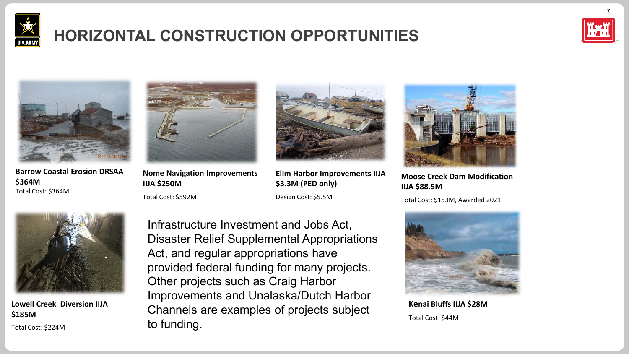

# **HORIZONTAL CONSTRUCTION OPPORTUNITIES**





**Barrow Coastal Erosion DRSAA \$364M** Total Cost: \$364M



**Nome Navigation Improvements IIJA \$250M**

Total Cost: \$592M



**Elim Harbor Improvements IIJA \$3.3M (PED only)**

Design Cost: \$5.5M



**Moose Creek Dam Modification IIJA \$88.5M**

Total Cost: \$153M, Awarded 2021



**Lowell Creek Diversion IIJA \$185M**

Total Cost: \$224M

Infrastructure Investment and Jobs Act, Disaster Relief Supplemental Appropriations Act, and regular appropriations have provided federal funding for many projects. Other projects such as Craig Harbor Improvements and Unalaska/Dutch Harbor Channels are examples of projects subject to funding.



**Kenai Bluffs IIJA \$28M** Total Cost: \$44M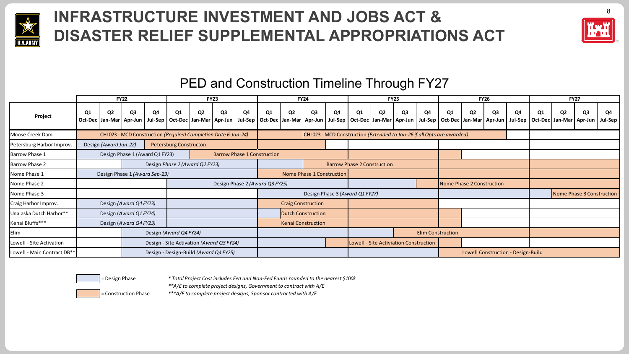

# **INFRASTRUCTURE INVESTMENT AND JOBS ACT & DISASTER RELIEF SUPPLEMENTAL APPROPRIATIONS ACT**



|                             |    |                                               |    |    |                               |                                |                                                               |               |                                   |                |                                    |                                |    |                | PED and Construction Timeline Through FYZ7                             |                          |                           |                |                                    |    |                                             |                           |                |               |
|-----------------------------|----|-----------------------------------------------|----|----|-------------------------------|--------------------------------|---------------------------------------------------------------|---------------|-----------------------------------|----------------|------------------------------------|--------------------------------|----|----------------|------------------------------------------------------------------------|--------------------------|---------------------------|----------------|------------------------------------|----|---------------------------------------------|---------------------------|----------------|---------------|
|                             |    | <b>FY22</b>                                   |    |    |                               |                                | <b>FY23</b>                                                   |               | <b>FY24</b>                       |                |                                    | <b>FY25</b>                    |    |                | <b>FY26</b>                                                            |                          |                           |                | <b>FY27</b>                        |    |                                             |                           |                |               |
| Project                     | Q1 | Q <sub>2</sub><br>Oct-Dec   Jan-Mar   Apr-Jun | Q3 | Q4 | Q1                            | Q2                             | Q <sub>3</sub><br>Jul-Sep   Oct-Dec   Jan-Mar   Apr-Jun       | Q4<br>Jul-Sep | Q1<br>Oct-Dec   Jan-Mar   Apr-Jun | Q <sub>2</sub> | Q3                                 | Q4                             | Q1 | Q <sub>2</sub> | Q3<br>Jul-Sep   Oct-Dec   Jan-Mar   Apr-Jun                            | Q4<br>Jul-Sep            | Q1<br>Oct-Dec Jan-Mar     | Q <sub>2</sub> | Q3<br>Apr-Jun                      | Q4 | Q1<br>Jul-Sep   Oct-Dec   Jan-Mar   Apr-Jun | Q <sub>2</sub>            | Q <sub>3</sub> | Q4<br>Jul-Sep |
| Moose Creek Dam             |    |                                               |    |    |                               |                                | CHL023 - MCD Construction (Required Completion Date 6-Jan-24) |               |                                   |                |                                    |                                |    |                | CHL023 - MCD Construction (Extended to Jan-26 if all Opts are awarded) |                          |                           |                |                                    |    |                                             |                           |                |               |
| Petersburg Harbor Improv.   |    | Design (Award Jun-22)                         |    |    | <b>Petersburg Constructon</b> |                                |                                                               |               |                                   |                |                                    |                                |    |                |                                                                        |                          |                           |                |                                    |    |                                             |                           |                |               |
| Barrow Phase 1              |    | Design Phase 1 (Award Q1 FY23)                |    |    |                               |                                | <b>Barrow Phase 1 Construction</b>                            |               |                                   |                |                                    |                                |    |                |                                                                        |                          |                           |                |                                    |    |                                             |                           |                |               |
| Barrow Phase 2              |    |                                               |    |    |                               | Design Phase 2 (Award Q2 FY23) |                                                               |               |                                   |                | <b>Barrow Phase 2 Construction</b> |                                |    |                |                                                                        |                          |                           |                |                                    |    |                                             |                           |                |               |
| Nome Phase 1                |    | Design Phase 1 (Award Sep-23)                 |    |    |                               | Nome Phase 1 Construction      |                                                               |               |                                   |                |                                    |                                |    |                |                                                                        |                          |                           |                |                                    |    |                                             |                           |                |               |
| Nome Phase 2                |    |                                               |    |    |                               |                                | Design Phase 2 (Award Q3 FY25)                                |               |                                   |                |                                    |                                |    |                |                                                                        |                          | Nome Phase 2 Construction |                |                                    |    |                                             |                           |                |               |
| Nome Phase 3                |    |                                               |    |    |                               |                                |                                                               |               |                                   |                |                                    | Design Phase 3 (Award Q1 FY27) |    |                |                                                                        |                          |                           |                |                                    |    |                                             | Nome Phase 3 Construction |                |               |
| Craig Harbor Improv.        |    | Design (Award Q4 FY23)                        |    |    |                               |                                |                                                               |               |                                   |                | <b>Craig Construction</b>          |                                |    |                |                                                                        |                          |                           |                |                                    |    |                                             |                           |                |               |
| Unalaska Dutch Harbor**     |    | Design (Award Q1 FY24)                        |    |    |                               |                                |                                                               |               |                                   |                | <b>Dutch Construction</b>          |                                |    |                |                                                                        |                          |                           |                |                                    |    |                                             |                           |                |               |
| Kenai Bluffs***             |    | Design (Award Q4 FY23)                        |    |    |                               |                                |                                                               |               |                                   |                | <b>Kenai Construction</b>          |                                |    |                |                                                                        |                          |                           |                |                                    |    |                                             |                           |                |               |
| Elim                        |    |                                               |    |    | Design (Award Q4 FY24)        |                                |                                                               |               |                                   |                |                                    |                                |    |                |                                                                        | <b>Elim Construction</b> |                           |                |                                    |    |                                             |                           |                |               |
| Lowell - Site Activation    |    |                                               |    |    |                               |                                | Design - Site Activation (Award Q3 FY24)                      |               |                                   |                |                                    |                                |    |                | Lowell - Site Activiation Construction                                 |                          |                           |                |                                    |    |                                             |                           |                |               |
| Lowell - Main Contract DB** |    |                                               |    |    |                               |                                | Design - Design-Build (Award Q4 FY25)                         |               |                                   |                |                                    |                                |    |                |                                                                        |                          |                           |                | Lowell Construction - Design-Build |    |                                             |                           |                |               |

#### PED and Construction Timeline Through FY27



= Design Phase *\* Total Project Cost includes Fed and Non-Fed Funds rounded to the nearest \$100k*

*\*\*A/E to complete project designs, Government to contract with A/E*

= Construction Phase *\*\*\*A/E to complete project designs, Sponsor contracted with A/E*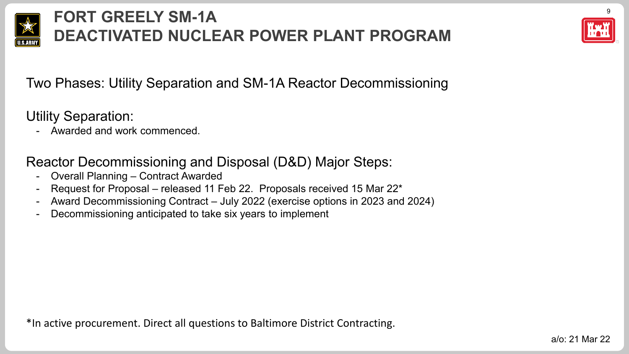

# **FORT GREELY SM-1A DEACTIVATED NUCLEAR POWER PLANT PROGRAM**



Two Phases: Utility Separation and SM-1A Reactor Decommissioning

Utility Separation:

Awarded and work commenced.

Reactor Decommissioning and Disposal (D&D) Major Steps:

- Overall Planning Contract Awarded
- Request for Proposal released 11 Feb 22. Proposals received 15 Mar 22\*
- Award Decommissioning Contract July 2022 (exercise options in 2023 and 2024)
- Decommissioning anticipated to take six years to implement

\*In active procurement. Direct all questions to Baltimore District Contracting.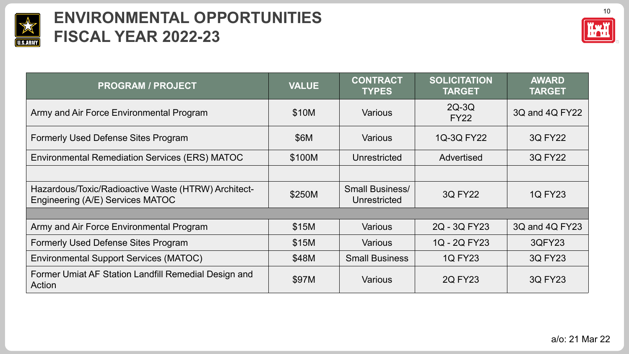

# **ENVIRONMENTAL OPPORTUNITIES FISCAL YEAR 2022-23**



| <b>PROGRAM / PROJECT</b>                                                                | <b>VALUE</b> | <b>CONTRACT</b><br><b>TYPES</b>        | <b>SOLICITATION</b><br><b>TARGET</b> | <b>AWARD</b><br><b>TARGET</b> |
|-----------------------------------------------------------------------------------------|--------------|----------------------------------------|--------------------------------------|-------------------------------|
| Army and Air Force Environmental Program                                                | \$10M        | <b>Various</b>                         | $2Q-3Q$<br><b>FY22</b>               | 3Q and 4Q FY22                |
| <b>Formerly Used Defense Sites Program</b>                                              | \$6M         | <b>Various</b>                         | 1Q-3Q FY22                           | <b>3Q FY22</b>                |
| <b>Environmental Remediation Services (ERS) MATOC</b>                                   | \$100M       | Unrestricted                           | Advertised                           | <b>3Q FY22</b>                |
|                                                                                         |              |                                        |                                      |                               |
| Hazardous/Toxic/Radioactive Waste (HTRW) Architect-<br>Engineering (A/E) Services MATOC | \$250M       | <b>Small Business/</b><br>Unrestricted | 3Q FY22                              | <b>1Q FY23</b>                |
|                                                                                         |              |                                        |                                      |                               |
| Army and Air Force Environmental Program                                                | \$15M        | <b>Various</b>                         | 2Q - 3Q FY23                         | 3Q and 4Q FY23                |
| <b>Formerly Used Defense Sites Program</b>                                              | \$15M        | <b>Various</b>                         | 1Q - 2Q FY23                         | 3QFY23                        |
| <b>Environmental Support Services (MATOC)</b>                                           | \$48M        | <b>Small Business</b>                  | <b>1Q FY23</b>                       | <b>3Q FY23</b>                |
| Former Umiat AF Station Landfill Remedial Design and<br>Action                          | \$97M        | <b>Various</b>                         | <b>2Q FY23</b>                       | <b>3Q FY23</b>                |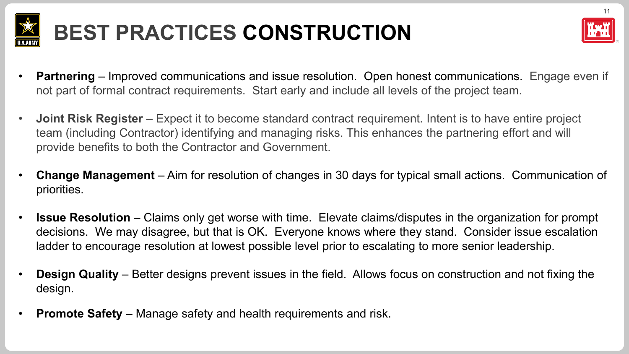

# **BEST PRACTICES CONSTRUCTION**



- **Partnering** Improved communications and issue resolution. Open honest communications. Engage even if not part of formal contract requirements. Start early and include all levels of the project team.
- **Joint Risk Register**  Expect it to become standard contract requirement. Intent is to have entire project team (including Contractor) identifying and managing risks. This enhances the partnering effort and will provide benefits to both the Contractor and Government.
- **Change Management**  Aim for resolution of changes in 30 days for typical small actions. Communication of priorities.
- **Issue Resolution** Claims only get worse with time. Elevate claims/disputes in the organization for prompt decisions. We may disagree, but that is OK. Everyone knows where they stand. Consider issue escalation ladder to encourage resolution at lowest possible level prior to escalating to more senior leadership.
- **Design Quality**  Better designs prevent issues in the field. Allows focus on construction and not fixing the design.
- **Promote Safety**  Manage safety and health requirements and risk.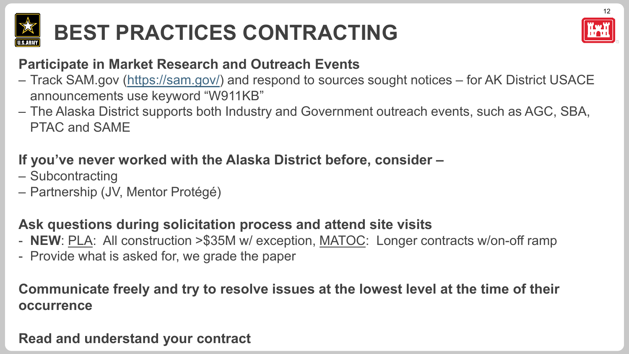

# **BEST PRACTICES CONTRACTING**



### **Participate in Market Research and Outreach Events**

- Track SAM.gov [\(https://sam.gov/](https://beta.sam.gov/)) and respond to sources sought notices for AK District USACE announcements use keyword "W911KB"
- The Alaska District supports both Industry and Government outreach events, such as AGC, SBA, PTAC and SAME

### **If you've never worked with the Alaska District before, consider –**

- Subcontracting
- Partnership (JV, Mentor Protégé)

### **Ask questions during solicitation process and attend site visits**

- **NEW**: PLA: All construction >\$35M w/ exception, MATOC: Longer contracts w/on-off ramp
- Provide what is asked for, we grade the paper

### **Communicate freely and try to resolve issues at the lowest level at the time of their occurrence**

#### **Read and understand your contract**